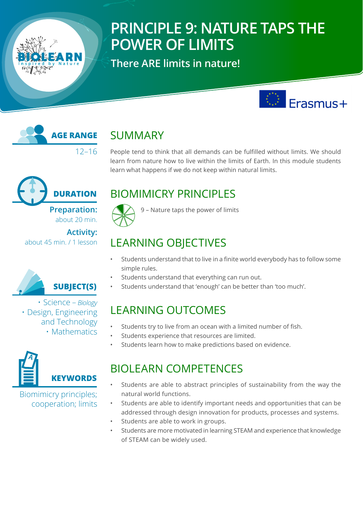# **PRINCIPLE 9: NATURE TAPS THE POWER OF LIMITS**

**There ARE limits in nature!** 





# SUMMARY

People tend to think that all demands can be fulfilled without limits. We should learn from nature how to live within the limits of Earth. In this module students learn what happens if we do not keep within natural limits.



about 20 min.

**Activity:** about 45 min. / 1 lesson



• Science – *Biology*  • Design, Engineering and Technology • Mathematics



Biomimicry principles; cooperation; limits

# BIOMIMICRY PRINCIPLES



9 – Nature taps the power of limits

# LEARNING OBJECTIVES

- Students understand that to live in a finite world everybody has to follow some simple rules.
- Students understand that everything can run out.
- Students understand that 'enough' can be better than 'too much'.

# LEARNING OUTCOMES

- Students try to live from an ocean with a limited number of fish.
- Students experience that resources are limited.
- Students learn how to make predictions based on evidence.

## BIOLEARN COMPETENCES

- Students are able to abstract principles of sustainability from the way the natural world functions.
- Students are able to identify important needs and opportunities that can be addressed through design innovation for products, processes and systems.
- Students are able to work in groups.
- Students are more motivated in learning STEAM and experience that knowledge of STEAM can be widely used.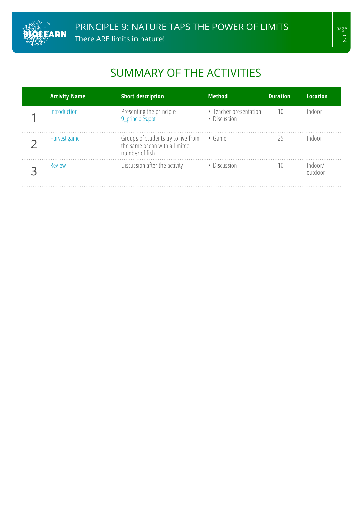

# SUMMARY OF THE ACTIVITIES

| <b>Activity Name</b> | <b>Short description</b>                                                                      | <b>Method</b>                          | <b>Duration</b> | <b>Location</b>    |
|----------------------|-----------------------------------------------------------------------------------------------|----------------------------------------|-----------------|--------------------|
| <b>Introduction</b>  | Presenting the principle<br>9_principles.ppt                                                  | • Teacher presentation<br>· Discussion | 10              | Indoor             |
| Harvest game         | Groups of students try to live from • Game<br>the same ocean with a limited<br>number of fish |                                        | 25              | Indoor             |
| Review               | Discussion after the activity                                                                 | • Discussion                           | 10              | Indoor/<br>outdoor |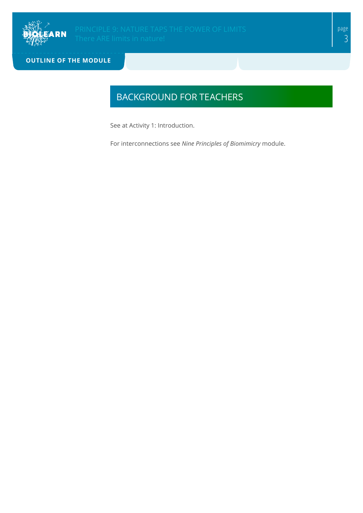

**OUTLINE OF THE MODULE**

## BACKGROUND FOR TEACHERS

See at Activity 1: Introduction.

For interconnections see *Nine Principles of Biomimicry* module.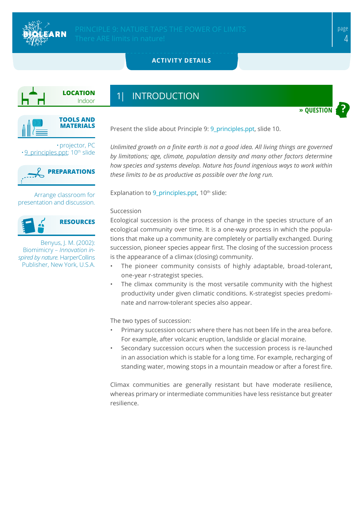

**» QUESTION**

### <span id="page-3-0"></span>**ACTIVITY DETAILS**



## 1| INTRODUCTION



•projector, PC  $\cdot$  9 principles.ppt; 10<sup>th</sup> slide



Arrange classroom for presentation and discussion.



Benyus, J. M. (2002): Biomimicry – *Innovation inspired by nature.* HarperCollins Publisher, New York, U.S.A.

Present the slide about Principle 9: [9\\_principles.ppt](https://biolearn.eu/wp-content/uploads/2020/11/9_principles.ppt), slide 10.

*Unlimited growth on a finite earth is not a good idea. All living things are governed by limitations; age, climate, population density and many other factors determine how species and systems develop. Nature has found ingenious ways to work within these limits to be as productive as possible over the long run.*

Explanation to  $9$  principles.ppt,  $10<sup>th</sup>$  slide:

#### Succession

Ecological succession is the process of change in the species structure of an ecological community over time. It is a one-way process in which the populations that make up a community are completely or partially exchanged. During succession, pioneer species appear first. The closing of the succession process is the appearance of a climax (closing) community.

- The pioneer community consists of highly adaptable, broad-tolerant, one-year r-strategist species.
- The climax community is the most versatile community with the highest productivity under given climatic conditions. K-strategist species predominate and narrow-tolerant species also appear.

The two types of succession:

- Primary succession occurs where there has not been life in the area before. For example, after volcanic eruption, landslide or glacial moraine.
- Secondary succession occurs when the succession process is re-launched in an association which is stable for a long time. For example, recharging of standing water, mowing stops in a mountain meadow or after a forest fire.

Climax communities are generally resistant but have moderate resilience, whereas primary or intermediate communities have less resistance but greater resilience.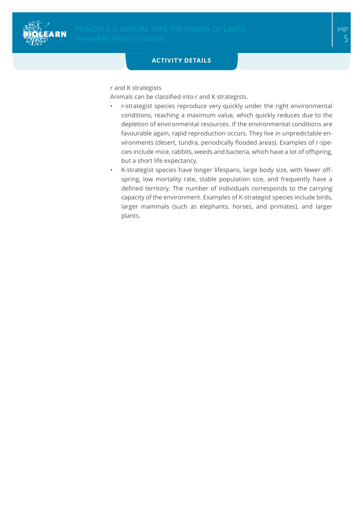

### **ACTIVITY DETAILS**

r and K strategists

Animals can be classified into r and K strategists.

- r-strategist species reproduce very quickly under the right environmental conditions, reaching a maximum value, which quickly reduces due to the depletion of environmental resources. If the environmental conditions are favourable again, rapid reproduction occurs. They live in unpredictable environments (desert, tundra, periodically flooded areas). Examples of r-species include mice, rabbits, weeds and bacteria, which have a lot of offspring, but a short life expectancy.
- K-strategist species have longer lifespans, large body size, with fewer offspring, low mortality rate, stable population size, and frequently have a defined territory. The number of individuals corresponds to the carrying capacity of the environment. Examples of K-strategist species include birds, larger mammals (such as elephants, horses, and primates), and larger plants.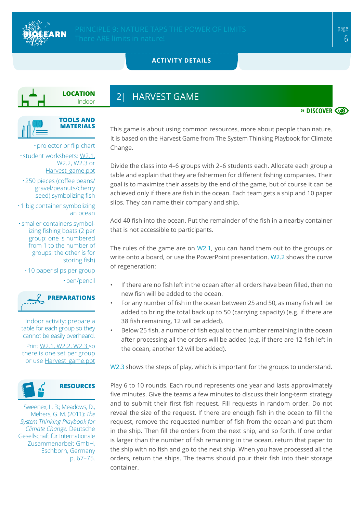

**» DISCOVER**

### <span id="page-5-0"></span>**ACTIVITY DETAILS**

**LOCATION** Indoor

## 2| HARVEST GAME



•projector or flip chart

• student worksheets: [W2.1,](#page-7-0) [W2.2](#page-8-0), [W2.3](#page-9-0) or [Harvest\\_game.ppt](https://biolearn.eu/wp-content/uploads/2020/11/Harvest_game-1.pptx)

•250 pieces (coffee beans/ gravel/peanuts/cherry seed) symbolizing fish

•1 big container symbolizing an ocean

• smaller containers symbolizing fishing boats (2 per group: one is numbered from 1 to the number of groups; the other is for storing fish)

•10 paper slips per group •pen/pencil



Indoor activity: prepare a table for each group so they cannot be easily overheard.

Print [W2.1](#page-7-0), [W2.2,](#page-8-0) [W2.3](#page-9-0) so there is one set per group or use [Harvest\\_game.ppt](https://biolearn.eu/wp-content/uploads/2020/11/Harvest_game-1.pptx)



Sweenex, L. B.; Meadows, D., Mehers, G. M. (2011): *The System Thinking Playbook for Climate Change.* Deutsche Gesellschaft für Internationale Zusammenarbeit GmbH, Eschborn, Germany p. 67–75.

This game is about using common resources, more about people than nature. It is based on the Harvest Game from The System Thinking Playbook for Climate Change.

Divide the class into 4–6 groups with 2–6 students each. Allocate each group a table and explain that they are fishermen for different fishing companies. Their goal is to maximize their assets by the end of the game, but of course it can be achieved only if there are fish in the ocean. Each team gets a ship and 10 paper slips. They can name their company and ship.

Add 40 fish into the ocean. Put the remainder of the fish in a nearby container that is not accessible to participants.

The rules of the game are on [W2.1](#page-7-0), you can hand them out to the groups or write onto a board, or use the PowerPoint presentation. [W2.2](#page-8-0) shows the curve of regeneration:

- If there are no fish left in the ocean after all orders have been filled, then no new fish will be added to the ocean.
	- For any number of fish in the ocean between 25 and 50, as many fish will be added to bring the total back up to 50 (carrying capacity) (e.g. if there are 38 fish remaining, 12 will be added).
	- Below 25 fish, a number of fish equal to the number remaining in the ocean after processing all the orders will be added (e.g. if there are 12 fish left in the ocean, another 12 will be added).

[W2.3](#page-9-0) shows the steps of play, which is important for the groups to understand.

Play 6 to 10 rounds. Each round represents one year and lasts approximately five minutes. Give the teams a few minutes to discuss their long-term strategy and to submit their first fish request. Fill requests in random order. Do not reveal the size of the request. If there are enough fish in the ocean to fill the request, remove the requested number of fish from the ocean and put them in the ship. Then fill the orders from the next ship, and so forth. If one order is larger than the number of fish remaining in the ocean, return that paper to the ship with no fish and go to the next ship. When you have processed all the orders, return the ships. The teams should pour their fish into their storage container.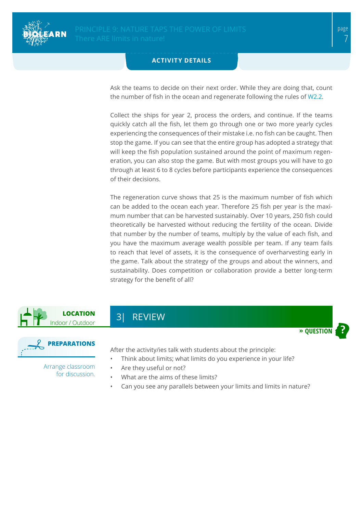

#### **ACTIVITY DETAILS**

Ask the teams to decide on their next order. While they are doing that, count the number of fish in the ocean and regenerate following the rules of [W2.2](#page-8-0).

Collect the ships for year 2, process the orders, and continue. If the teams quickly catch all the fish, let them go through one or two more yearly cycles experiencing the consequences of their mistake i.e. no fish can be caught. Then stop the game. If you can see that the entire group has adopted a strategy that will keep the fish population sustained around the point of maximum regeneration, you can also stop the game. But with most groups you will have to go through at least 6 to 8 cycles before participants experience the consequences of their decisions.

The regeneration curve shows that 25 is the maximum number of fish which can be added to the ocean each year. Therefore 25 fish per year is the maximum number that can be harvested sustainably. Over 10 years, 250 fish could theoretically be harvested without reducing the fertility of the ocean. Divide that number by the number of teams, multiply by the value of each fish, and you have the maximum average wealth possible per team. If any team fails to reach that level of assets, it is the consequence of overharvesting early in the game. Talk about the strategy of the groups and about the winners, and sustainability. Does competition or collaboration provide a better long-term strategy for the benefit of all?



<span id="page-6-0"></span>3| REVIEW



After the activity/ies talk with students about the principle:

- Think about limits; what limits do you experience in your life?
- Are they useful or not?
- What are the aims of these limits?
- Can you see any parallels between your limits and limits in nature?

Arrange classroom for discussion.  $\rightarrow$  **QUESTIO**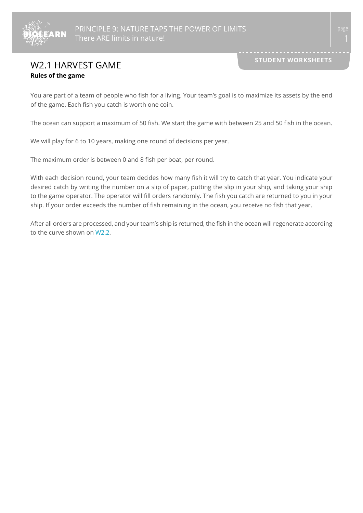

## <span id="page-7-0"></span>**W2.1 HARVEST GAME Rules of the game**

You are part of a team of people who fish for a living. Your team's goal is to maximize its assets by the end of the game. Each fish you catch is worth one coin.

The ocean can support a maximum of 50 fish. We start the game with between 25 and 50 fish in the ocean.

We will play for 6 to 10 years, making one round of decisions per year.

The maximum order is between 0 and 8 fish per boat, per round.

With each decision round, your team decides how many fish it will try to catch that year. You indicate your desired catch by writing the number on a slip of paper, putting the slip in your ship, and taking your ship to the game operator. The operator will fill orders randomly. The fish you catch are returned to you in your ship. If your order exceeds the number of fish remaining in the ocean, you receive no fish that year.

After all orders are processed, and your team's ship is returned, the fish in the ocean will regenerate according to the curve shown on [W2.2](#page-8-0).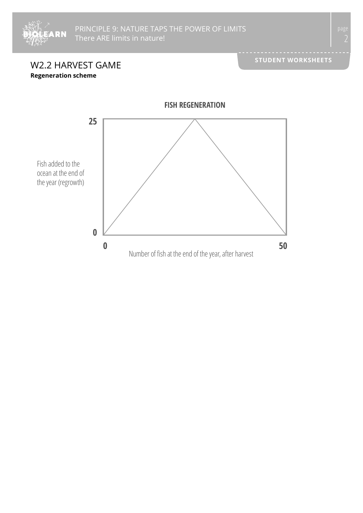

<span id="page-8-0"></span>